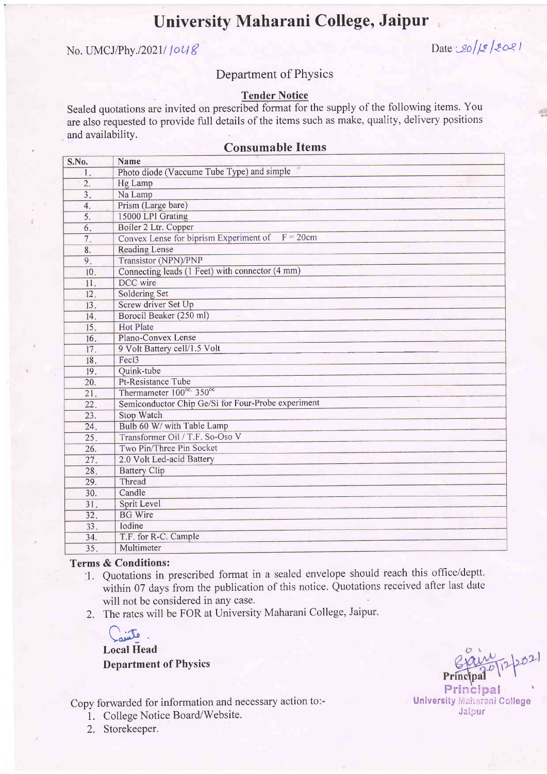# University Maharani College, Jaipur

# No. UMCJ/Phy./2021/ $\lceil o \lg \ell \rceil$

### Department of PhYsics

### Tender Notice

Sealed quotations are invited on prescribed format for the supply of the following items. You are also requested to provide full details of the items such as make, quality, delivery positions and availability.

| S.No.            | <b>Name</b>                                        |
|------------------|----------------------------------------------------|
| 1.               | Photo diode (Vaccume Tube Type) and simple         |
| $\overline{2}$ . | Hg Lamp                                            |
| $\overline{3}$ . | Na Lamp                                            |
| 4.               | Prism (Large bare)                                 |
| 5.               | 15000 LPI Grating                                  |
| 6.               | Boiler 2 Ltr. Copper                               |
| 7.               | Convex Lense for biprism Experiment of $F = 20$ cm |
| 8.               | <b>Reading Lense</b>                               |
| 9.               | <b>Transistor (NPN)/PNP</b>                        |
| 10.              | Connecting leads (1 Feet) with connector (4 mm)    |
| 11.              | DCC wire                                           |
| 12.              | Soldering Set                                      |
| 13.              | Screw driver Set Up                                |
| 14.              | Borocil Beaker (250 ml)                            |
| 15.              | <b>Hot Plate</b>                                   |
| 16.              | Plano-Convex Lense                                 |
| 17.              | 9 Volt Battery cell/1.5 Volt                       |
| 18.              | Fec <sub>13</sub>                                  |
| 19.              | Quink-tube                                         |
| 20.              | Pt-Resistance Tube                                 |
| 21.              | Thermameter 100°c, 350°c                           |
| 22.              | Semiconductor Chip Ge/Si for Four-Probe experiment |
| 23.              | <b>Stop Watch</b>                                  |
| 24.              | Bulb 60 W/ with Table Lamp                         |
| 25.              | Transformer Oil / T.F. So-Oso V                    |
| 26.              | Two Pin/Three Pin Socket                           |
| 27.              | 2.0 Volt Led-acid Battery                          |
| 28.              | <b>Battery Clip</b>                                |
| 29.              | Thread                                             |
| 30.              | Candle                                             |
| 31.              | Sprit Level                                        |
| 32.              | <b>BG</b> Wire                                     |
| 33.              | Iodine                                             |
| 34.              | T.F. for R-C. Cample                               |
| 35.              | Multimeter                                         |

## Consumable Items

#### Terms & Conditions:

- 1. Quotations in prescribed format in a sealed envelope should reach this office/deptt. within 07 days from the publication of this notice. Quotations received after last date will not be considered in any case.
- 2. The rates will be FOR at University Maharani College, Jaipur.

C<sub>riet</sub> Local Head Department of PhYsics

Copy forwarded for information and necessary action to:-

- 1. College Notice Board/Website.
- 2. Storekeeper.

Principal University Maharani College Jaipur